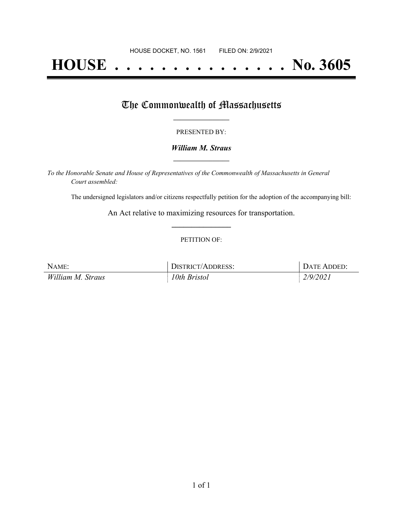# **HOUSE . . . . . . . . . . . . . . . No. 3605**

## The Commonwealth of Massachusetts

#### PRESENTED BY:

#### *William M. Straus* **\_\_\_\_\_\_\_\_\_\_\_\_\_\_\_\_\_**

*To the Honorable Senate and House of Representatives of the Commonwealth of Massachusetts in General Court assembled:*

The undersigned legislators and/or citizens respectfully petition for the adoption of the accompanying bill:

An Act relative to maximizing resources for transportation. **\_\_\_\_\_\_\_\_\_\_\_\_\_\_\_**

#### PETITION OF:

| NAME:             | DISTRICT/ADDRESS: | DATE ADDED: |
|-------------------|-------------------|-------------|
| William M. Straus | 10th Bristol      | 2/9/2021    |